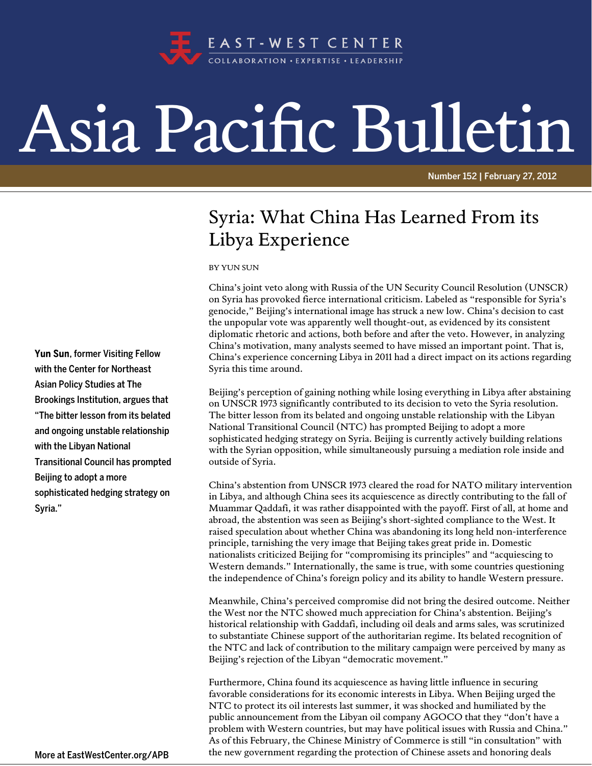

## Asia Pacific Bulletin

Number 152 | February 27, 2012

## Syria: What China Has Learned From its Libya Experience

BY YUN SUN

China's joint veto along with Russia of the UN Security Council Resolution (UNSCR) on Syria has provoked fierce international criticism. Labeled as "responsible for Syria's genocide," Beijing's international image has struck a new low. China's decision to cast the unpopular vote was apparently well thought-out, as evidenced by its consistent diplomatic rhetoric and actions, both before and after the veto. However, in analyzing China's motivation, many analysts seemed to have missed an important point. That is, China's experience concerning Libya in 2011 had a direct impact on its actions regarding Syria this time around.

Beijing's perception of gaining nothing while losing everything in Libya after abstaining on UNSCR 1973 significantly contributed to its decision to veto the Syria resolution. The bitter lesson from its belated and ongoing unstable relationship with the Libyan National Transitional Council (NTC) has prompted Beijing to adopt a more sophisticated hedging strategy on Syria. Beijing is currently actively building relations with the Syrian opposition, while simultaneously pursuing a mediation role inside and outside of Syria.

China's abstention from UNSCR 1973 cleared the road for NATO military intervention in Libya, and although China sees its acquiescence as directly contributing to the fall of Muammar Qaddafi, it was rather disappointed with the payoff. First of all, at home and abroad, the abstention was seen as Beijing's short-sighted compliance to the West. It raised speculation about whether China was abandoning its long held non-interference principle, tarnishing the very image that Beijing takes great pride in. Domestic nationalists criticized Beijing for "compromising its principles" and "acquiescing to Western demands." Internationally, the same is true, with some countries questioning the independence of China's foreign policy and its ability to handle Western pressure.

Meanwhile, China's perceived compromise did not bring the desired outcome. Neither the West nor the NTC showed much appreciation for China's abstention. Beijing's historical relationship with Gaddafi, including oil deals and arms sales, was scrutinized to substantiate Chinese support of the authoritarian regime. Its belated recognition of the NTC and lack of contribution to the military campaign were perceived by many as Beijing's rejection of the Libyan "democratic movement."

Furthermore, China found its acquiescence as having little influence in securing favorable considerations for its economic interests in Libya. When Beijing urged the NTC to protect its oil interests last summer, it was shocked and humiliated by the public announcement from the Libyan oil company AGOCO that they "don't have a problem with Western countries, but may have political issues with Russia and China." As of this February, the Chinese Ministry of Commerce is still "in consultation" with the new government regarding the protection of Chinese assets and honoring deals

Yun Sun, former Visiting Fellow with the Center for Northeast Asian Policy Studies at The Brookings Institution, argues that "The bitter lesson from its belated and ongoing unstable relationship with the Libyan National Transitional Council has prompted Beijing to adopt a more sophisticated hedging strategy on Syria."